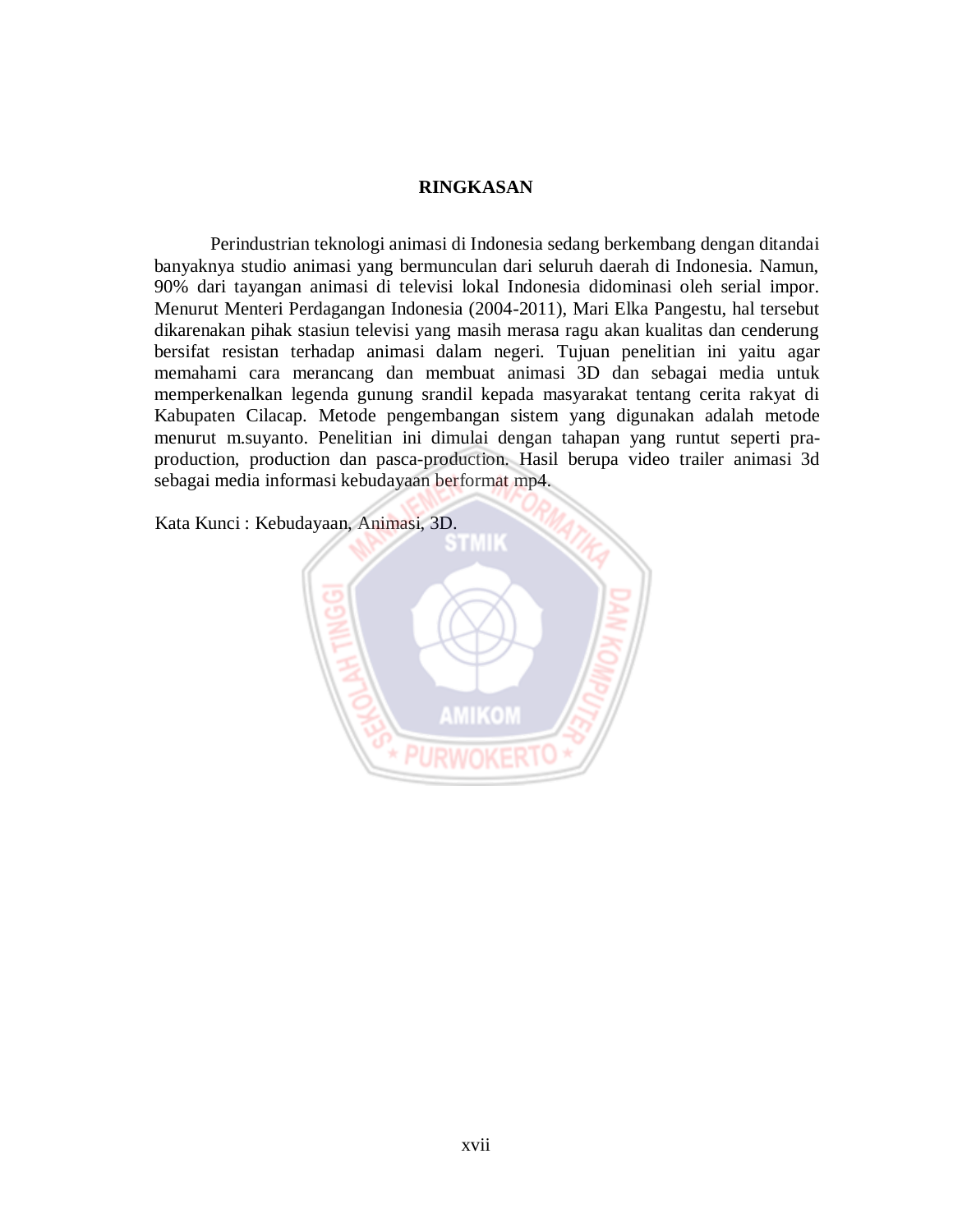## **RINGKASAN**

Perindustrian teknologi animasi di Indonesia sedang berkembang dengan ditandai banyaknya studio animasi yang bermunculan dari seluruh daerah di Indonesia. Namun, 90% dari tayangan animasi di televisi lokal Indonesia didominasi oleh serial impor. Menurut Menteri Perdagangan Indonesia (2004-2011), Mari Elka Pangestu, hal tersebut dikarenakan pihak stasiun televisi yang masih merasa ragu akan kualitas dan cenderung bersifat resistan terhadap animasi dalam negeri. Tujuan penelitian ini yaitu agar memahami cara merancang dan membuat animasi 3D dan sebagai media untuk memperkenalkan legenda gunung srandil kepada masyarakat tentang cerita rakyat di Kabupaten Cilacap. Metode pengembangan sistem yang digunakan adalah metode menurut m.suyanto. Penelitian ini dimulai dengan tahapan yang runtut seperti praproduction, production dan pasca-production. Hasil berupa video trailer animasi 3d sebagai media informasi kebudayaan berformat mp4.